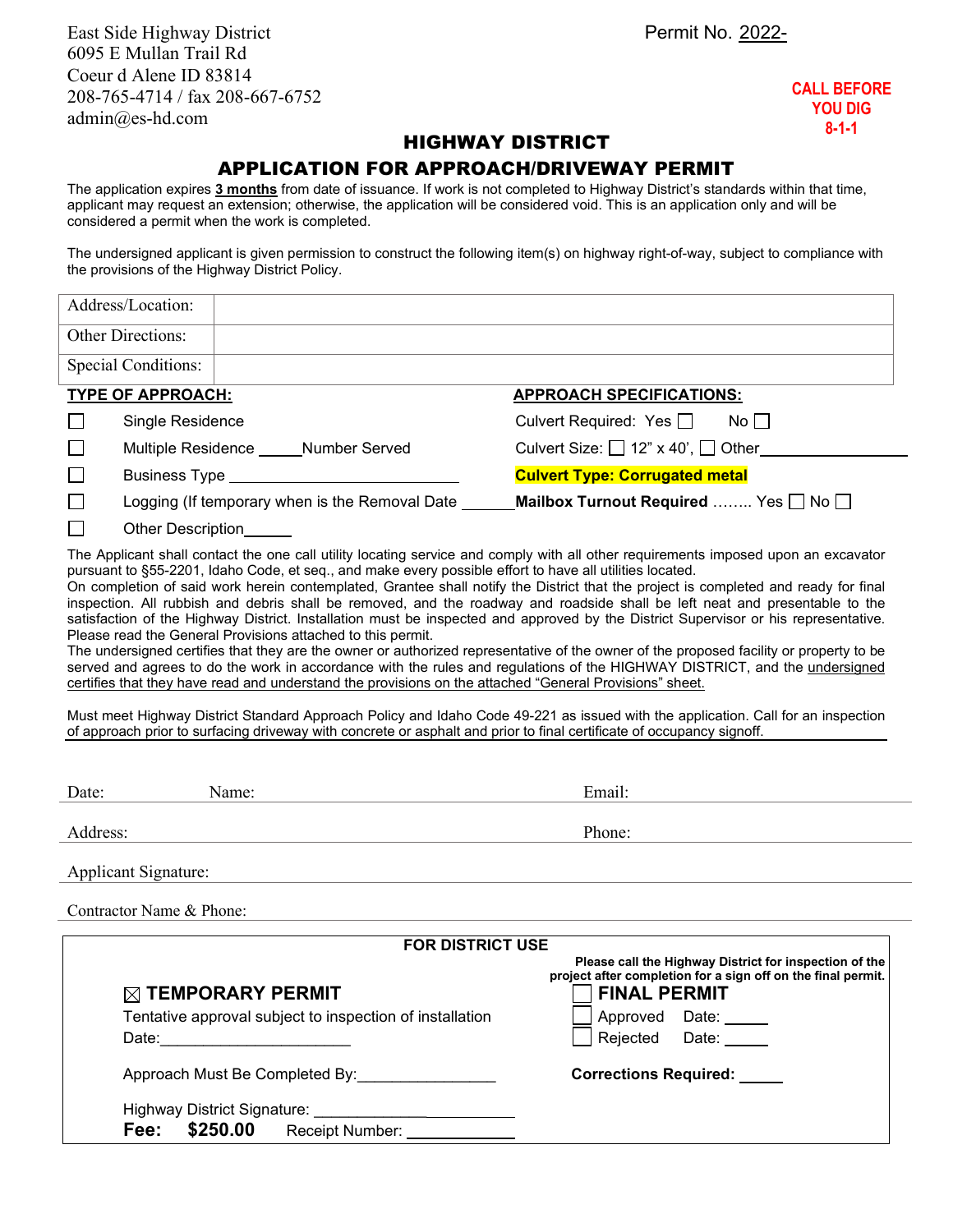East Side Highway District **Permit No. 2022-**6095 E Mullan Trail Rd Coeur d Alene ID 83814 208-765-4714 / fax 208-667-6752 admin@es-hd.com

**CALL BEFORE YOU DIG 8-1-1**

## HIGHWAY DISTRICT

## APPLICATION FOR APPROACH/DRIVEWAY PERMIT

The application expires **3 months** from date of issuance. If work is not completed to Highway District's standards within that time, applicant may request an extension; otherwise, the application will be considered void. This is an application only and will be considered a permit when the work is completed.

The undersigned applicant is given permission to construct the following item(s) on highway right-of-way, subject to compliance with the provisions of the Highway District Policy.

| Address/Location:                                           |                                                                                                                                                                                                                                                                                                                                                                                                                                                                                                                                                                                                                                                                                                                                                                                                                                                                                                                                                                                                                                                           |
|-------------------------------------------------------------|-----------------------------------------------------------------------------------------------------------------------------------------------------------------------------------------------------------------------------------------------------------------------------------------------------------------------------------------------------------------------------------------------------------------------------------------------------------------------------------------------------------------------------------------------------------------------------------------------------------------------------------------------------------------------------------------------------------------------------------------------------------------------------------------------------------------------------------------------------------------------------------------------------------------------------------------------------------------------------------------------------------------------------------------------------------|
| <b>Other Directions:</b>                                    |                                                                                                                                                                                                                                                                                                                                                                                                                                                                                                                                                                                                                                                                                                                                                                                                                                                                                                                                                                                                                                                           |
| <b>Special Conditions:</b>                                  |                                                                                                                                                                                                                                                                                                                                                                                                                                                                                                                                                                                                                                                                                                                                                                                                                                                                                                                                                                                                                                                           |
| TYPE OF APPROACH:                                           | <b>APPROACH SPECIFICATIONS:</b>                                                                                                                                                                                                                                                                                                                                                                                                                                                                                                                                                                                                                                                                                                                                                                                                                                                                                                                                                                                                                           |
| Single Residence<br>ப                                       | Culvert Required: Yes $\Box$<br>$No$ $\vert$                                                                                                                                                                                                                                                                                                                                                                                                                                                                                                                                                                                                                                                                                                                                                                                                                                                                                                                                                                                                              |
| Multiple Residence _____Number Served<br>$\Box$             | Culvert Size: $\Box$ 12" x 40', $\Box$ Other                                                                                                                                                                                                                                                                                                                                                                                                                                                                                                                                                                                                                                                                                                                                                                                                                                                                                                                                                                                                              |
| $\Box$                                                      | <b>Culvert Type: Corrugated metal</b>                                                                                                                                                                                                                                                                                                                                                                                                                                                                                                                                                                                                                                                                                                                                                                                                                                                                                                                                                                                                                     |
| Logging (If temporary when is the Removal Date ____         | Mailbox Turnout Required  Yes $\Box$ No $\Box$                                                                                                                                                                                                                                                                                                                                                                                                                                                                                                                                                                                                                                                                                                                                                                                                                                                                                                                                                                                                            |
| Other Description______                                     |                                                                                                                                                                                                                                                                                                                                                                                                                                                                                                                                                                                                                                                                                                                                                                                                                                                                                                                                                                                                                                                           |
| Please read the General Provisions attached to this permit. | On completion of said work herein contemplated, Grantee shall notify the District that the project is completed and ready for final<br>inspection. All rubbish and debris shall be removed, and the roadway and roadside shall be left neat and presentable to the<br>satisfaction of the Highway District. Installation must be inspected and approved by the District Supervisor or his representative.<br>The undersigned certifies that they are the owner or authorized representative of the owner of the proposed facility or property to be<br>served and agrees to do the work in accordance with the rules and regulations of the HIGHWAY DISTRICT, and the undersigned<br>certifies that they have read and understand the provisions on the attached "General Provisions" sheet.<br>Must meet Highway District Standard Approach Policy and Idaho Code 49-221 as issued with the application. Call for an inspection<br>of approach prior to surfacing driveway with concrete or asphalt and prior to final certificate of occupancy signoff. |
| Name:<br>Date:                                              | Email:                                                                                                                                                                                                                                                                                                                                                                                                                                                                                                                                                                                                                                                                                                                                                                                                                                                                                                                                                                                                                                                    |
| Address:                                                    | Phone:                                                                                                                                                                                                                                                                                                                                                                                                                                                                                                                                                                                                                                                                                                                                                                                                                                                                                                                                                                                                                                                    |
| Applicant Signature:                                        |                                                                                                                                                                                                                                                                                                                                                                                                                                                                                                                                                                                                                                                                                                                                                                                                                                                                                                                                                                                                                                                           |
| Contractor Name & Phone:                                    |                                                                                                                                                                                                                                                                                                                                                                                                                                                                                                                                                                                                                                                                                                                                                                                                                                                                                                                                                                                                                                                           |
|                                                             | <b>FOR DISTRICT USE</b>                                                                                                                                                                                                                                                                                                                                                                                                                                                                                                                                                                                                                                                                                                                                                                                                                                                                                                                                                                                                                                   |
|                                                             | Please call the Highway District for inspection of the<br>project after completion for a sign off on the final permit.<br><b>FINAL PERMIT</b>                                                                                                                                                                                                                                                                                                                                                                                                                                                                                                                                                                                                                                                                                                                                                                                                                                                                                                             |